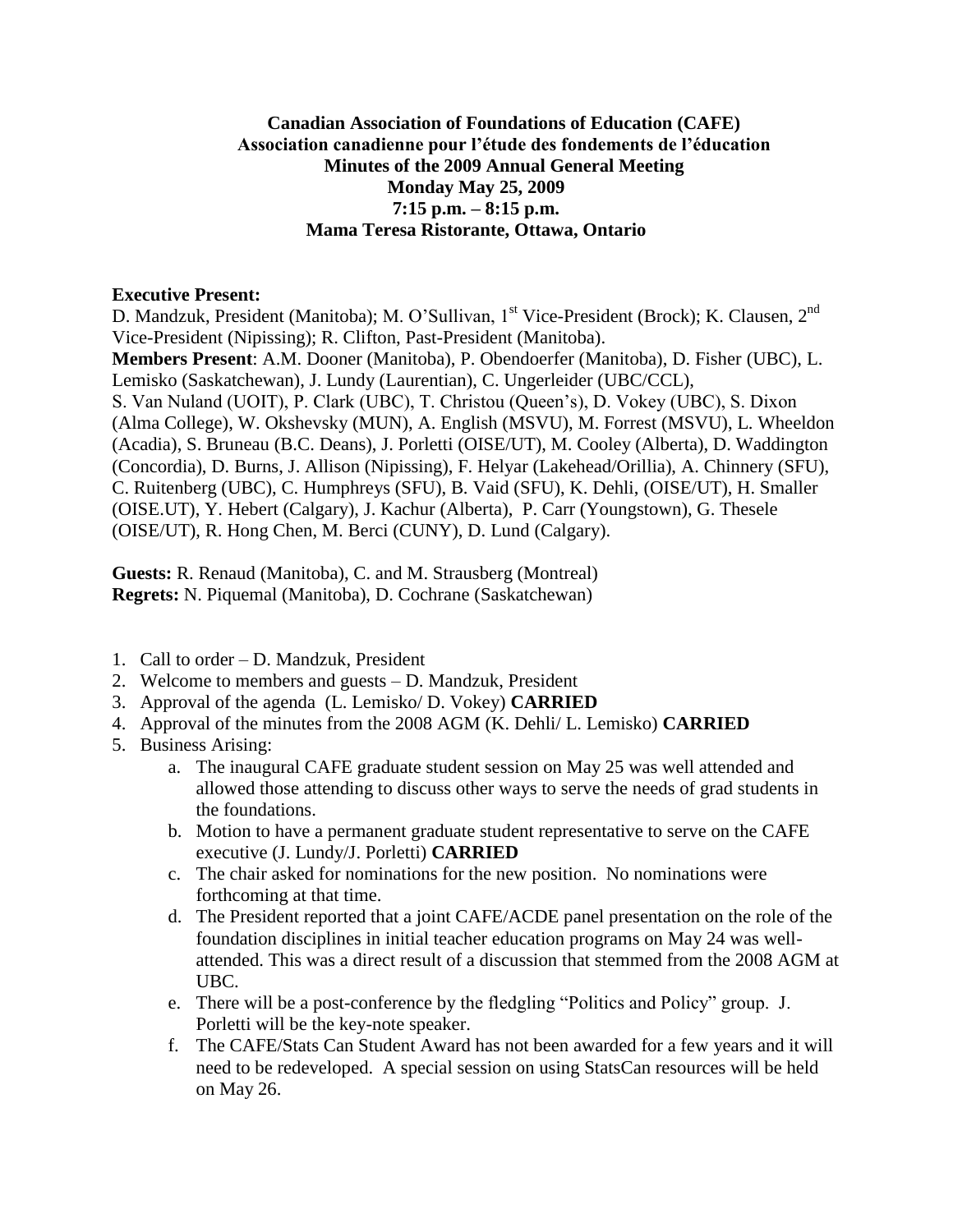## **Canadian Association of Foundations of Education (CAFE) Association canadienne pour l'étude des fondements de l'éducation Minutes of the 2009 Annual General Meeting Monday May 25, 2009 7:15 p.m. – 8:15 p.m. Mama Teresa Ristorante, Ottawa, Ontario**

## **Executive Present:**

D. Mandzuk, President (Manitoba); M. O'Sullivan, 1<sup>st</sup> Vice-President (Brock); K. Clausen, 2<sup>nd</sup> Vice-President (Nipissing); R. Clifton, Past-President (Manitoba).

**Members Present**: A.M. Dooner (Manitoba), P. Obendoerfer (Manitoba), D. Fisher (UBC), L. Lemisko (Saskatchewan), J. Lundy (Laurentian), C. Ungerleider (UBC/CCL), S. Van Nuland (UOIT), P. Clark (UBC), T. Christou (Queen's), D. Vokey (UBC), S. Dixon (Alma College), W. Okshevsky (MUN), A. English (MSVU), M. Forrest (MSVU), L. Wheeldon (Acadia), S. Bruneau (B.C. Deans), J. Porletti (OISE/UT), M. Cooley (Alberta), D. Waddington (Concordia), D. Burns, J. Allison (Nipissing), F. Helyar (Lakehead/Orillia), A. Chinnery (SFU), C. Ruitenberg (UBC), C. Humphreys (SFU), B. Vaid (SFU), K. Dehli, (OISE/UT), H. Smaller (OISE.UT), Y. Hebert (Calgary), J. Kachur (Alberta), P. Carr (Youngstown), G. Thesele (OISE/UT), R. Hong Chen, M. Berci (CUNY), D. Lund (Calgary).

**Guests:** R. Renaud (Manitoba), C. and M. Strausberg (Montreal) **Regrets:** N. Piquemal (Manitoba), D. Cochrane (Saskatchewan)

- 1. Call to order D. Mandzuk, President
- 2. Welcome to members and guests D. Mandzuk, President
- 3. Approval of the agenda (L. Lemisko/ D. Vokey) **CARRIED**
- 4. Approval of the minutes from the 2008 AGM (K. Dehli/ L. Lemisko) **CARRIED**
- 5. Business Arising:
	- a. The inaugural CAFE graduate student session on May 25 was well attended and allowed those attending to discuss other ways to serve the needs of grad students in the foundations.
	- b. Motion to have a permanent graduate student representative to serve on the CAFE executive (J. Lundy/J. Porletti) **CARRIED**
	- c. The chair asked for nominations for the new position. No nominations were forthcoming at that time.
	- d. The President reported that a joint CAFE/ACDE panel presentation on the role of the foundation disciplines in initial teacher education programs on May 24 was wellattended. This was a direct result of a discussion that stemmed from the 2008 AGM at UBC.
	- e. There will be a post-conference by the fledgling "Politics and Policy" group. J. Porletti will be the key-note speaker.
	- f. The CAFE/Stats Can Student Award has not been awarded for a few years and it will need to be redeveloped. A special session on using StatsCan resources will be held on May 26.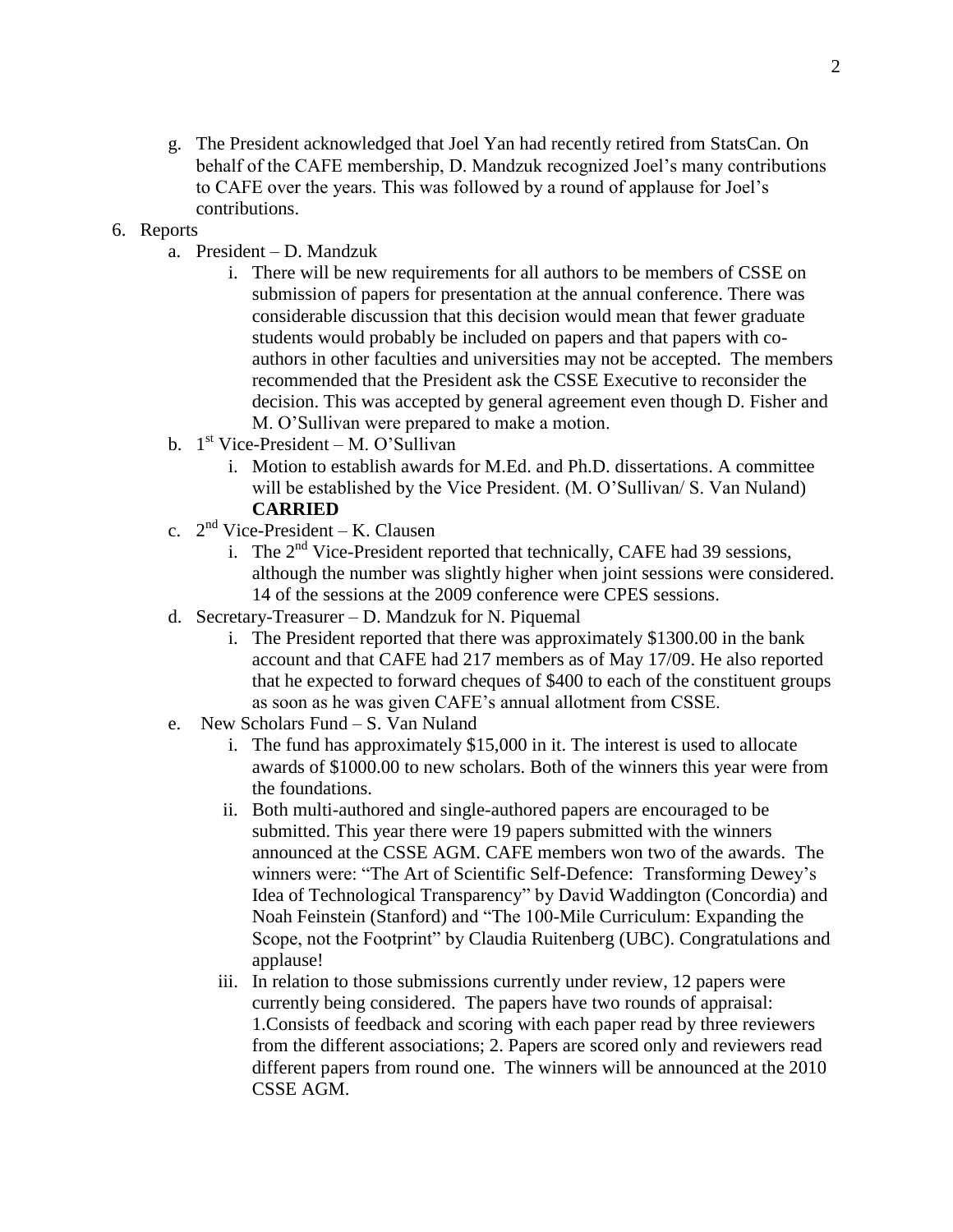g. The President acknowledged that Joel Yan had recently retired from StatsCan. On behalf of the CAFE membership, D. Mandzuk recognized Joel's many contributions to CAFE over the years. This was followed by a round of applause for Joel's contributions.

## 6. Reports

- a. President D. Mandzuk
	- i. There will be new requirements for all authors to be members of CSSE on submission of papers for presentation at the annual conference. There was considerable discussion that this decision would mean that fewer graduate students would probably be included on papers and that papers with coauthors in other faculties and universities may not be accepted. The members recommended that the President ask the CSSE Executive to reconsider the decision. This was accepted by general agreement even though D. Fisher and M. O'Sullivan were prepared to make a motion.
- b. 1<sup>st</sup> Vice-President M. O'Sullivan
	- i. Motion to establish awards for M.Ed. and Ph.D. dissertations. A committee will be established by the Vice President. (M. O'Sullivan/ S. Van Nuland) **CARRIED**
- c.  $2<sup>nd</sup> Vice-President K. Clausen$ 
	- i. The  $2<sup>nd</sup>$  Vice-President reported that technically, CAFE had 39 sessions, although the number was slightly higher when joint sessions were considered. 14 of the sessions at the 2009 conference were CPES sessions.
- d. Secretary-Treasurer D. Mandzuk for N. Piquemal
	- i. The President reported that there was approximately \$1300.00 in the bank account and that CAFE had 217 members as of May 17/09. He also reported that he expected to forward cheques of \$400 to each of the constituent groups as soon as he was given CAFE's annual allotment from CSSE.
- e. New Scholars Fund S. Van Nuland
	- i. The fund has approximately \$15,000 in it. The interest is used to allocate awards of \$1000.00 to new scholars. Both of the winners this year were from the foundations.
	- ii. Both multi-authored and single-authored papers are encouraged to be submitted. This year there were 19 papers submitted with the winners announced at the CSSE AGM. CAFE members won two of the awards. The winners were: "The Art of Scientific Self-Defence: Transforming Dewey's Idea of Technological Transparency" by David Waddington (Concordia) and Noah Feinstein (Stanford) and "The 100-Mile Curriculum: Expanding the Scope, not the Footprint" by Claudia Ruitenberg (UBC). Congratulations and applause!
	- iii. In relation to those submissions currently under review, 12 papers were currently being considered. The papers have two rounds of appraisal: 1.Consists of feedback and scoring with each paper read by three reviewers from the different associations; 2. Papers are scored only and reviewers read different papers from round one. The winners will be announced at the 2010 CSSE AGM.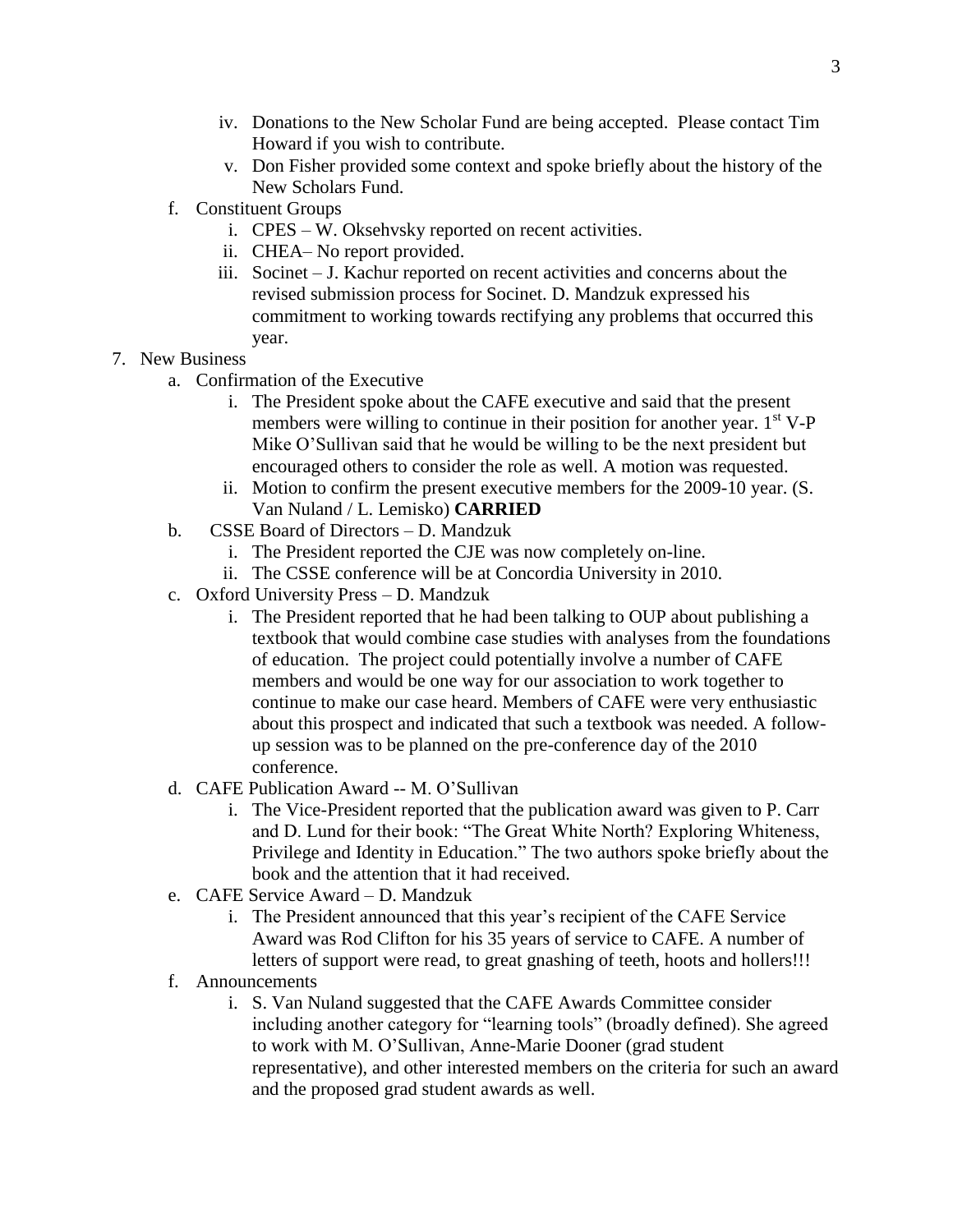- iv. Donations to the New Scholar Fund are being accepted. Please contact Tim Howard if you wish to contribute.
- v. Don Fisher provided some context and spoke briefly about the history of the New Scholars Fund.
- f. Constituent Groups
	- i. CPES W. Oksehvsky reported on recent activities.
	- ii. CHEA– No report provided.
	- iii. Socinet J. Kachur reported on recent activities and concerns about the revised submission process for Socinet. D. Mandzuk expressed his commitment to working towards rectifying any problems that occurred this year.
- 7. New Business
	- a. Confirmation of the Executive
		- i. The President spoke about the CAFE executive and said that the present members were willing to continue in their position for another year.  $1<sup>st</sup> V-P$ Mike O'Sullivan said that he would be willing to be the next president but encouraged others to consider the role as well. A motion was requested.
		- ii. Motion to confirm the present executive members for the 2009-10 year. (S. Van Nuland / L. Lemisko) **CARRIED**
	- b. CSSE Board of Directors D. Mandzuk
		- i. The President reported the CJE was now completely on-line.
		- ii. The CSSE conference will be at Concordia University in 2010.
	- c. Oxford University Press D. Mandzuk
		- i. The President reported that he had been talking to OUP about publishing a textbook that would combine case studies with analyses from the foundations of education. The project could potentially involve a number of CAFE members and would be one way for our association to work together to continue to make our case heard. Members of CAFE were very enthusiastic about this prospect and indicated that such a textbook was needed. A followup session was to be planned on the pre-conference day of the 2010 conference.
	- d. CAFE Publication Award -- M. O'Sullivan
		- i. The Vice-President reported that the publication award was given to P. Carr and D. Lund for their book: "The Great White North? Exploring Whiteness, Privilege and Identity in Education." The two authors spoke briefly about the book and the attention that it had received.
	- e. CAFE Service Award D. Mandzuk
		- i. The President announced that this year's recipient of the CAFE Service Award was Rod Clifton for his 35 years of service to CAFE. A number of letters of support were read, to great gnashing of teeth, hoots and hollers!!!
	- f. Announcements
		- i. S. Van Nuland suggested that the CAFE Awards Committee consider including another category for "learning tools" (broadly defined). She agreed to work with M. O'Sullivan, Anne-Marie Dooner (grad student representative), and other interested members on the criteria for such an award and the proposed grad student awards as well.